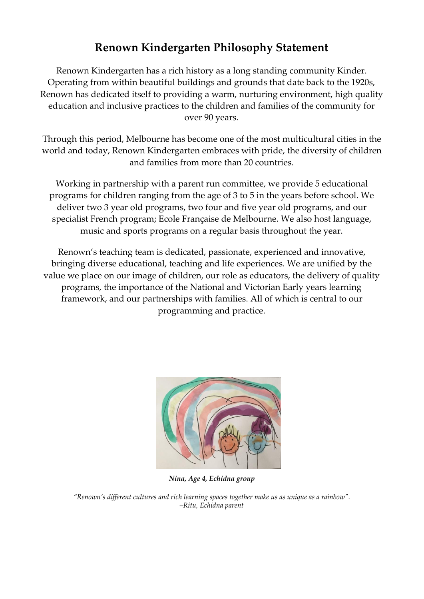# **Renown Kindergarten Philosophy Statement**

Renown Kindergarten has a rich history as a long standing community Kinder. Operating from within beautiful buildings and grounds that date back to the 1920s, Renown has dedicated itself to providing a warm, nurturing environment, high quality education and inclusive practices to the children and families of the community for over 90 years.

Through this period, Melbourne has become one of the most multicultural cities in the world and today, Renown Kindergarten embraces with pride, the diversity of children and families from more than 20 countries.

Working in partnership with a parent run committee, we provide 5 educational programs for children ranging from the age of 3 to 5 in the years before school. We deliver two 3 year old programs, two four and five year old programs, and our specialist French program; Ecole Française de Melbourne. We also host language, music and sports programs on a regular basis throughout the year.

Renown's teaching team is dedicated, passionate, experienced and innovative, bringing diverse educational, teaching and life experiences. We are unified by the value we place on our image of children, our role as educators, the delivery of quality programs, the importance of the National and Victorian Early years learning framework, and our partnerships with families. All of which is central to our programming and practice.



*Nina, Age 4, Echidna group*

*"Renown's dif erent cultures and rich learning spaces together make us as unique as a rainbow". –Ritu, Echidna parent*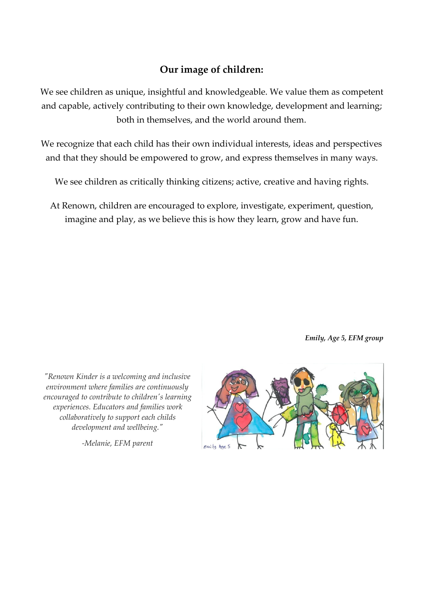### **Our image of children:**

We see children as unique, insightful and knowledgeable. We value them as competent and capable, actively contributing to their own knowledge, development and learning; both in themselves, and the world around them.

We recognize that each child has their own individual interests, ideas and perspectives and that they should be empowered to grow, and express themselves in many ways.

We see children as critically thinking citizens; active, creative and having rights.

At Renown, children are encouraged to explore, investigate, experiment, question, imagine and play, as we believe this is how they learn, grow and have fun.

*Emily, Age 5, EFM group*

*"Renown Kinder is a welcoming and inclusive environment where families are continuously encouraged to contribute to children's learning experiences. Educators and families work collaboratively to support each childs development and wellbeing."*

*-Melanie, EFM parent*

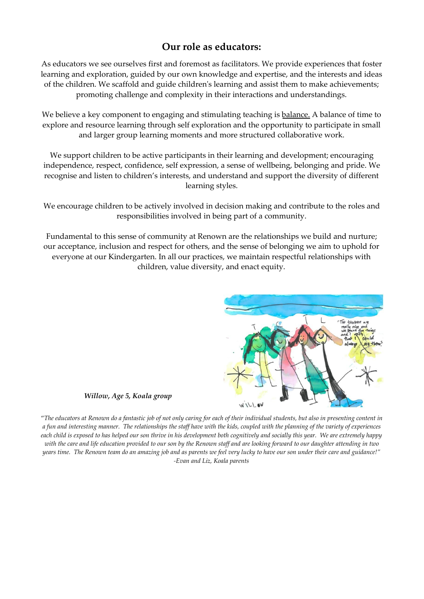#### **Our role as educators:**

As educators we see ourselves first and foremost as facilitators. We provide experiences that foster learning and exploration, guided by our own knowledge and expertise, and the interests and ideas of the children. We scaffold and guide children's learning and assist them to make achievements; promoting challenge and complexity in their interactions and understandings.

We believe a key component to engaging and stimulating teaching is balance. A balance of time to explore and resource learning through self exploration and the opportunity to participate in small and larger group learning moments and more structured collaborative work.

We support children to be active participants in their learning and development; encouraging independence, respect, confidence, self expression, a sense of wellbeing, belonging and pride. We recognise and listen to children's interests, and understand and support the diversity of different learning styles.

We encourage children to be actively involved in decision making and contribute to the roles and responsibilities involved in being part of a community.

Fundamental to this sense of community at Renown are the relationships we build and nurture; our acceptance, inclusion and respect for others, and the sense of belonging we aim to uphold for everyone at our Kindergarten. In all our practices, we maintain respectful relationships with children, value diversity, and enact equity.



*Willow, Age 5, Koala group*

"*The educators at Renown do a fantastic job of not only caring for each of their individual students, but also in presenting content in a fun and interesting manner. The relationships the staff have with the kids, coupled with the planning of the variety of experiences each child is exposed to has helped our son thrive in his development both cognitively and socially this year. We are extremely happy with the care and life education provided to our son by the Renown staff and are looking forward to our daughter attending in two years time. The Renown team do an amazing job and as parents we feel very lucky to have our son under their care and guidance!" -Evan and Liz, Koala parents*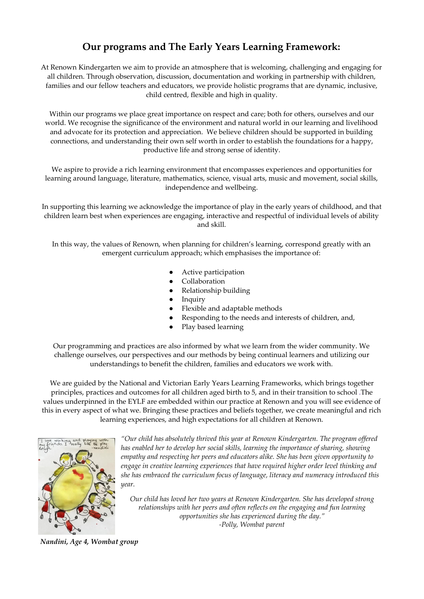## **Our programs and The Early Years Learning Framework:**

At Renown Kindergarten we aim to provide an atmosphere that is welcoming, challenging and engaging for all children. Through observation, discussion, documentation and working in partnership with children, families and our fellow teachers and educators, we provide holistic programs that are dynamic, inclusive, child centred, flexible and high in quality.

Within our programs we place great importance on respect and care; both for others, ourselves and our world. We recognise the significance of the environment and natural world in our learning and livelihood and advocate for its protection and appreciation. We believe children should be supported in building connections, and understanding their own self worth in order to establish the foundations for a happy, productive life and strong sense of identity.

We aspire to provide a rich learning environment that encompasses experiences and opportunities for learning around language, literature, mathematics, science, visual arts, music and movement, social skills, independence and wellbeing.

In supporting this learning we acknowledge the importance of play in the early years of childhood, and that children learn best when experiences are engaging, interactive and respectful of individual levels of ability and skill.

In this way, the values of Renown, when planning for children's learning, correspond greatly with an emergent curriculum approach; which emphasises the importance of:

- Active participation
- Collaboration
- Relationship building
- Inquiry
- Flexible and adaptable methods
- Responding to the needs and interests of children, and,
- Play based learning

Our programming and practices are also informed by what we learn from the wider community. We challenge ourselves, our perspectives and our methods by being continual learners and utilizing our understandings to benefit the children, families and educators we work with.

We are guided by the National and Victorian Early Years Learning Frameworks, which brings together principles, practices and outcomes for all children aged birth to 5, and in their transition to school .The values underpinned in the EYLF are embedded within our practice at Renown and you will see evidence of this in every aspect of what we. Bringing these practices and beliefs together, we create meaningful and rich learning experiences, and high expectations for all children at Renown.



*"Our child has absolutely thrived this year at Renown Kindergarten. The program of ered has enabled her to develop her social skills, learning the importance of sharing, showing empathy and respecting her peers and educators alike. She has been given opportunity to engage in creative learning experiences that have required higher order level thinking and she has embraced the curriculum focus of language, literacy and numeracy introduced this year.*

*Our child has loved her two years at Renown Kindergarten. She has developed strong relationships with her peers and often reflects on the engaging and fun learning opportunities she has experienced during the day." -Polly, Wombat parent*

*Nandini, Age 4, Wombat group*